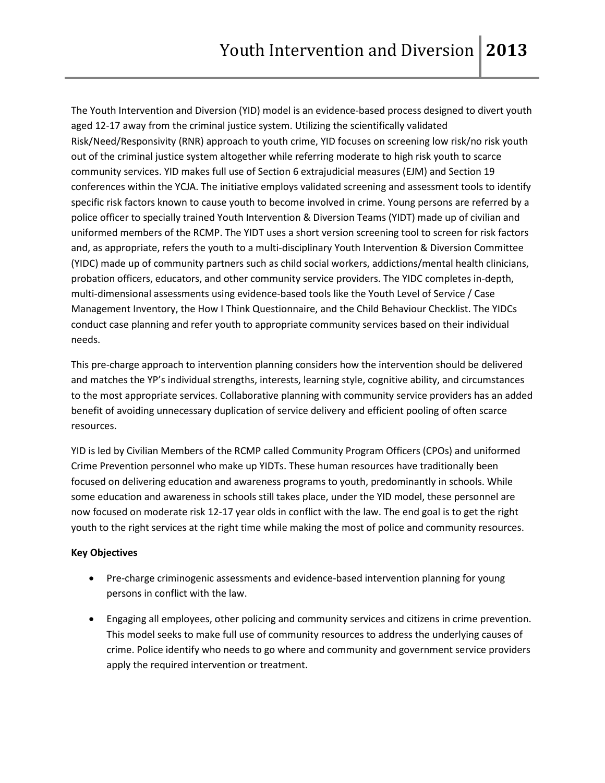The Youth Intervention and Diversion (YID) model is an evidence-based process designed to divert youth aged 12-17 away from the criminal justice system. Utilizing the scientifically validated Risk/Need/Responsivity (RNR) approach to youth crime, YID focuses on screening low risk/no risk youth out of the criminal justice system altogether while referring moderate to high risk youth to scarce community services. YID makes full use of Section 6 extrajudicial measures (EJM) and Section 19 conferences within the YCJA. The initiative employs validated screening and assessment tools to identify specific risk factors known to cause youth to become involved in crime. Young persons are referred by a police officer to specially trained Youth Intervention & Diversion Teams (YIDT) made up of civilian and uniformed members of the RCMP. The YIDT uses a short version screening tool to screen for risk factors and, as appropriate, refers the youth to a multi-disciplinary Youth Intervention & Diversion Committee (YIDC) made up of community partners such as child social workers, addictions/mental health clinicians, probation officers, educators, and other community service providers. The YIDC completes in-depth, multi-dimensional assessments using evidence-based tools like the Youth Level of Service / Case Management Inventory, the How I Think Questionnaire, and the Child Behaviour Checklist. The YIDCs conduct case planning and refer youth to appropriate community services based on their individual needs.

This pre-charge approach to intervention planning considers how the intervention should be delivered and matches the YP's individual strengths, interests, learning style, cognitive ability, and circumstances to the most appropriate services. Collaborative planning with community service providers has an added benefit of avoiding unnecessary duplication of service delivery and efficient pooling of often scarce resources.

YID is led by Civilian Members of the RCMP called Community Program Officers (CPOs) and uniformed Crime Prevention personnel who make up YIDTs. These human resources have traditionally been focused on delivering education and awareness programs to youth, predominantly in schools. While some education and awareness in schools still takes place, under the YID model, these personnel are now focused on moderate risk 12-17 year olds in conflict with the law. The end goal is to get the right youth to the right services at the right time while making the most of police and community resources.

# **Key Objectives**

- Pre-charge criminogenic assessments and evidence-based intervention planning for young persons in conflict with the law.
- Engaging all employees, other policing and community services and citizens in crime prevention. This model seeks to make full use of community resources to address the underlying causes of crime. Police identify who needs to go where and community and government service providers apply the required intervention or treatment.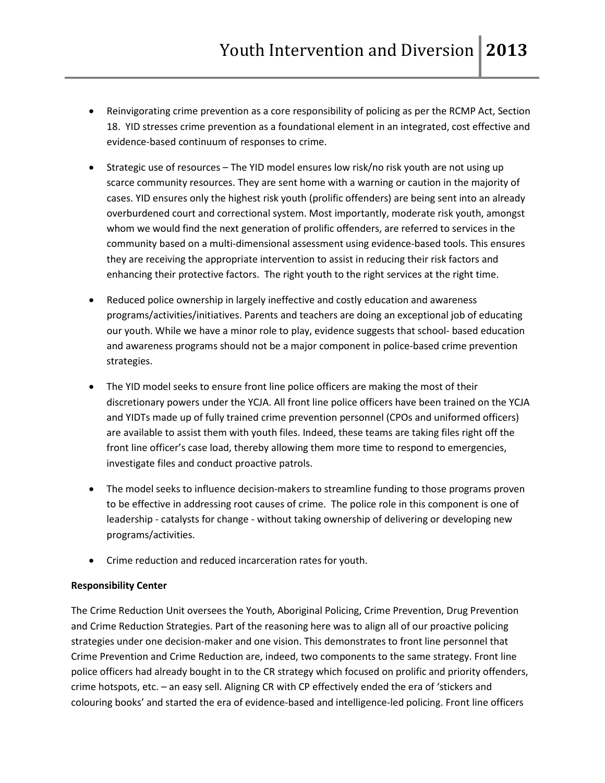- Reinvigorating crime prevention as a core responsibility of policing as per the RCMP Act, Section 18. YID stresses crime prevention as a foundational element in an integrated, cost effective and evidence-based continuum of responses to crime.
- Strategic use of resources The YID model ensures low risk/no risk youth are not using up scarce community resources. They are sent home with a warning or caution in the majority of cases. YID ensures only the highest risk youth (prolific offenders) are being sent into an already overburdened court and correctional system. Most importantly, moderate risk youth, amongst whom we would find the next generation of prolific offenders, are referred to services in the community based on a multi-dimensional assessment using evidence-based tools. This ensures they are receiving the appropriate intervention to assist in reducing their risk factors and enhancing their protective factors. The right youth to the right services at the right time.
- Reduced police ownership in largely ineffective and costly education and awareness programs/activities/initiatives. Parents and teachers are doing an exceptional job of educating our youth. While we have a minor role to play, evidence suggests that school- based education and awareness programs should not be a major component in police-based crime prevention strategies.
- The YID model seeks to ensure front line police officers are making the most of their discretionary powers under the YCJA. All front line police officers have been trained on the YCJA and YIDTs made up of fully trained crime prevention personnel (CPOs and uniformed officers) are available to assist them with youth files. Indeed, these teams are taking files right off the front line officer's case load, thereby allowing them more time to respond to emergencies, investigate files and conduct proactive patrols.
- The model seeks to influence decision-makers to streamline funding to those programs proven to be effective in addressing root causes of crime. The police role in this component is one of leadership - catalysts for change - without taking ownership of delivering or developing new programs/activities.
- Crime reduction and reduced incarceration rates for youth.

# **Responsibility Center**

The Crime Reduction Unit oversees the Youth, Aboriginal Policing, Crime Prevention, Drug Prevention and Crime Reduction Strategies. Part of the reasoning here was to align all of our proactive policing strategies under one decision-maker and one vision. This demonstrates to front line personnel that Crime Prevention and Crime Reduction are, indeed, two components to the same strategy. Front line police officers had already bought in to the CR strategy which focused on prolific and priority offenders, crime hotspots, etc. – an easy sell. Aligning CR with CP effectively ended the era of 'stickers and colouring books' and started the era of evidence-based and intelligence-led policing. Front line officers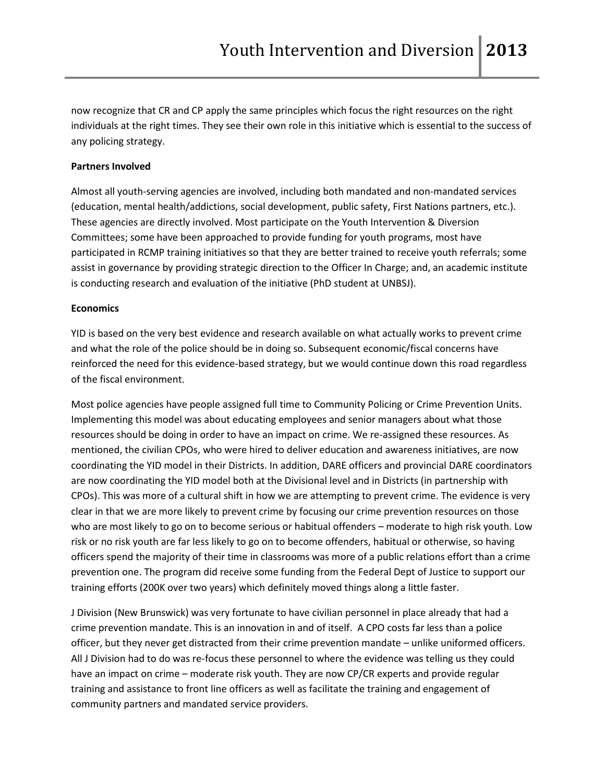now recognize that CR and CP apply the same principles which focus the right resources on the right individuals at the right times. They see their own role in this initiative which is essential to the success of any policing strategy.

#### **Partners Involved**

Almost all youth-serving agencies are involved, including both mandated and non-mandated services (education, mental health/addictions, social development, public safety, First Nations partners, etc.). These agencies are directly involved. Most participate on the Youth Intervention & Diversion Committees; some have been approached to provide funding for youth programs, most have participated in RCMP training initiatives so that they are better trained to receive youth referrals; some assist in governance by providing strategic direction to the Officer In Charge; and, an academic institute is conducting research and evaluation of the initiative (PhD student at UNBSJ).

#### **Economics**

YID is based on the very best evidence and research available on what actually works to prevent crime and what the role of the police should be in doing so. Subsequent economic/fiscal concerns have reinforced the need for this evidence-based strategy, but we would continue down this road regardless of the fiscal environment.

Most police agencies have people assigned full time to Community Policing or Crime Prevention Units. Implementing this model was about educating employees and senior managers about what those resources should be doing in order to have an impact on crime. We re-assigned these resources. As mentioned, the civilian CPOs, who were hired to deliver education and awareness initiatives, are now coordinating the YID model in their Districts. In addition, DARE officers and provincial DARE coordinators are now coordinating the YID model both at the Divisional level and in Districts (in partnership with CPOs). This was more of a cultural shift in how we are attempting to prevent crime. The evidence is very clear in that we are more likely to prevent crime by focusing our crime prevention resources on those who are most likely to go on to become serious or habitual offenders – moderate to high risk youth. Low risk or no risk youth are far less likely to go on to become offenders, habitual or otherwise, so having officers spend the majority of their time in classrooms was more of a public relations effort than a crime prevention one. The program did receive some funding from the Federal Dept of Justice to support our training efforts (200K over two years) which definitely moved things along a little faster.

J Division (New Brunswick) was very fortunate to have civilian personnel in place already that had a crime prevention mandate. This is an innovation in and of itself. A CPO costs far less than a police officer, but they never get distracted from their crime prevention mandate – unlike uniformed officers. All J Division had to do was re-focus these personnel to where the evidence was telling us they could have an impact on crime – moderate risk youth. They are now CP/CR experts and provide regular training and assistance to front line officers as well as facilitate the training and engagement of community partners and mandated service providers.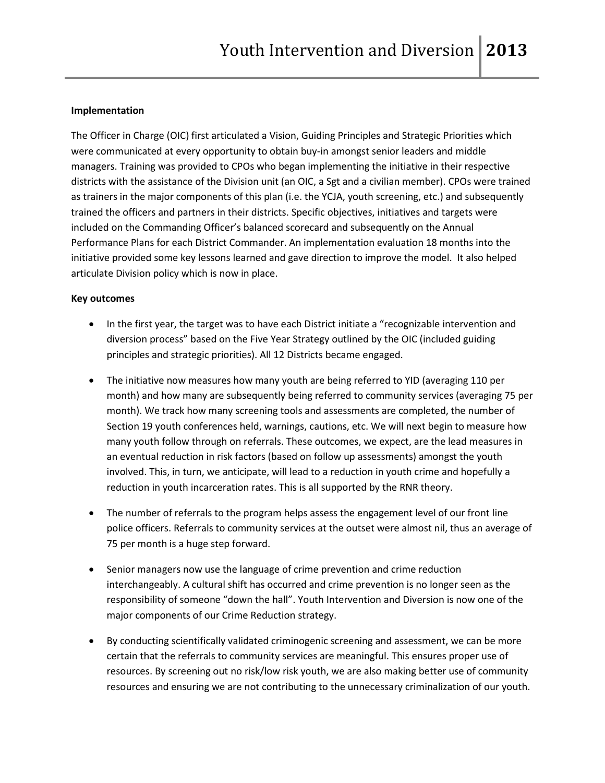### **Implementation**

The Officer in Charge (OIC) first articulated a Vision, Guiding Principles and Strategic Priorities which were communicated at every opportunity to obtain buy-in amongst senior leaders and middle managers. Training was provided to CPOs who began implementing the initiative in their respective districts with the assistance of the Division unit (an OIC, a Sgt and a civilian member). CPOs were trained as trainers in the major components of this plan (i.e. the YCJA, youth screening, etc.) and subsequently trained the officers and partners in their districts. Specific objectives, initiatives and targets were included on the Commanding Officer's balanced scorecard and subsequently on the Annual Performance Plans for each District Commander. An implementation evaluation 18 months into the initiative provided some key lessons learned and gave direction to improve the model. It also helped articulate Division policy which is now in place.

### **Key outcomes**

- In the first year, the target was to have each District initiate a "recognizable intervention and diversion process" based on the Five Year Strategy outlined by the OIC (included guiding principles and strategic priorities). All 12 Districts became engaged.
- The initiative now measures how many youth are being referred to YID (averaging 110 per month) and how many are subsequently being referred to community services (averaging 75 per month). We track how many screening tools and assessments are completed, the number of Section 19 youth conferences held, warnings, cautions, etc. We will next begin to measure how many youth follow through on referrals. These outcomes, we expect, are the lead measures in an eventual reduction in risk factors (based on follow up assessments) amongst the youth involved. This, in turn, we anticipate, will lead to a reduction in youth crime and hopefully a reduction in youth incarceration rates. This is all supported by the RNR theory.
- The number of referrals to the program helps assess the engagement level of our front line police officers. Referrals to community services at the outset were almost nil, thus an average of 75 per month is a huge step forward.
- Senior managers now use the language of crime prevention and crime reduction interchangeably. A cultural shift has occurred and crime prevention is no longer seen as the responsibility of someone "down the hall". Youth Intervention and Diversion is now one of the major components of our Crime Reduction strategy.
- By conducting scientifically validated criminogenic screening and assessment, we can be more certain that the referrals to community services are meaningful. This ensures proper use of resources. By screening out no risk/low risk youth, we are also making better use of community resources and ensuring we are not contributing to the unnecessary criminalization of our youth.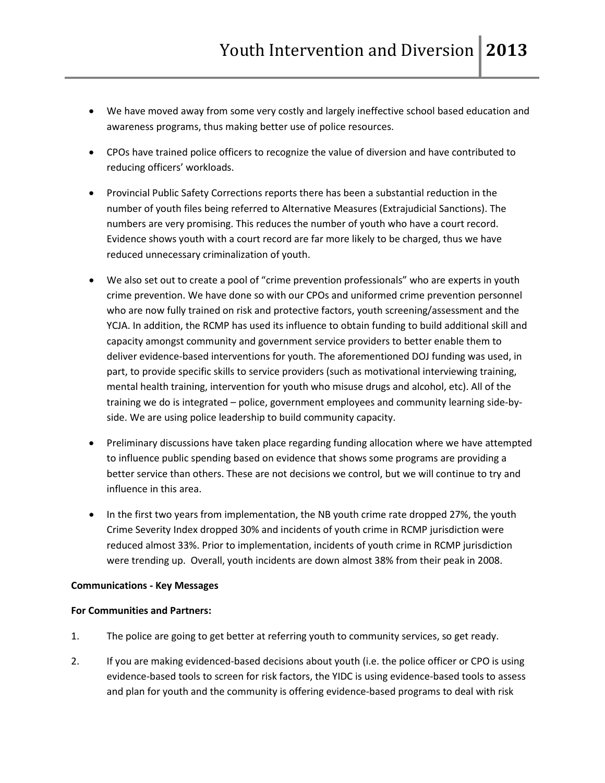- We have moved away from some very costly and largely ineffective school based education and awareness programs, thus making better use of police resources.
- CPOs have trained police officers to recognize the value of diversion and have contributed to reducing officers' workloads.
- Provincial Public Safety Corrections reports there has been a substantial reduction in the number of youth files being referred to Alternative Measures (Extrajudicial Sanctions). The numbers are very promising. This reduces the number of youth who have a court record. Evidence shows youth with a court record are far more likely to be charged, thus we have reduced unnecessary criminalization of youth.
- We also set out to create a pool of "crime prevention professionals" who are experts in youth crime prevention. We have done so with our CPOs and uniformed crime prevention personnel who are now fully trained on risk and protective factors, youth screening/assessment and the YCJA. In addition, the RCMP has used its influence to obtain funding to build additional skill and capacity amongst community and government service providers to better enable them to deliver evidence-based interventions for youth. The aforementioned DOJ funding was used, in part, to provide specific skills to service providers (such as motivational interviewing training, mental health training, intervention for youth who misuse drugs and alcohol, etc). All of the training we do is integrated – police, government employees and community learning side-byside. We are using police leadership to build community capacity.
- Preliminary discussions have taken place regarding funding allocation where we have attempted to influence public spending based on evidence that shows some programs are providing a better service than others. These are not decisions we control, but we will continue to try and influence in this area.
- In the first two years from implementation, the NB youth crime rate dropped 27%, the youth Crime Severity Index dropped 30% and incidents of youth crime in RCMP jurisdiction were reduced almost 33%. Prior to implementation, incidents of youth crime in RCMP jurisdiction were trending up. Overall, youth incidents are down almost 38% from their peak in 2008.

# **Communications - Key Messages**

### **For Communities and Partners:**

- 1. The police are going to get better at referring youth to community services, so get ready.
- 2. If you are making evidenced-based decisions about youth (i.e. the police officer or CPO is using evidence-based tools to screen for risk factors, the YIDC is using evidence-based tools to assess and plan for youth and the community is offering evidence-based programs to deal with risk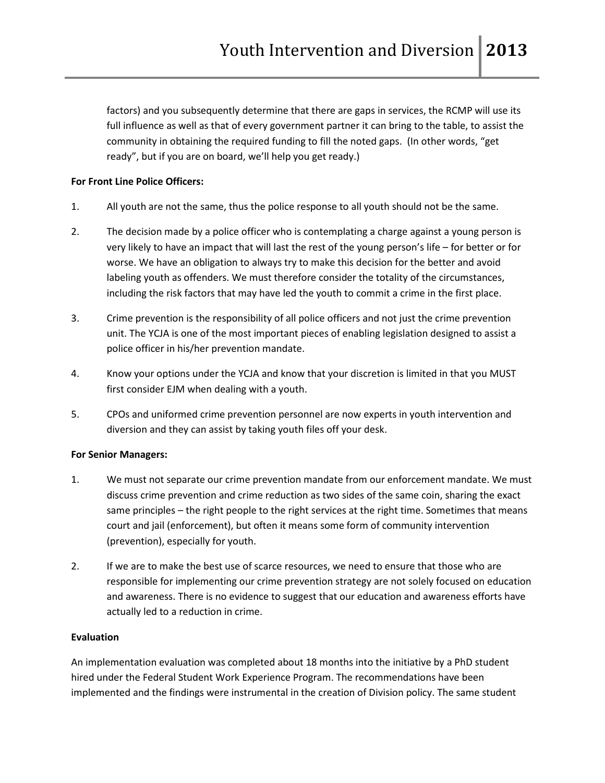factors) and you subsequently determine that there are gaps in services, the RCMP will use its full influence as well as that of every government partner it can bring to the table, to assist the community in obtaining the required funding to fill the noted gaps. (In other words, "get ready", but if you are on board, we'll help you get ready.)

# **For Front Line Police Officers:**

- 1. All youth are not the same, thus the police response to all youth should not be the same.
- 2. The decision made by a police officer who is contemplating a charge against a young person is very likely to have an impact that will last the rest of the young person's life – for better or for worse. We have an obligation to always try to make this decision for the better and avoid labeling youth as offenders. We must therefore consider the totality of the circumstances, including the risk factors that may have led the youth to commit a crime in the first place.
- 3. Crime prevention is the responsibility of all police officers and not just the crime prevention unit. The YCJA is one of the most important pieces of enabling legislation designed to assist a police officer in his/her prevention mandate.
- 4. Know your options under the YCJA and know that your discretion is limited in that you MUST first consider EJM when dealing with a youth.
- 5. CPOs and uniformed crime prevention personnel are now experts in youth intervention and diversion and they can assist by taking youth files off your desk.

# **For Senior Managers:**

- 1. We must not separate our crime prevention mandate from our enforcement mandate. We must discuss crime prevention and crime reduction as two sides of the same coin, sharing the exact same principles – the right people to the right services at the right time. Sometimes that means court and jail (enforcement), but often it means some form of community intervention (prevention), especially for youth.
- 2. If we are to make the best use of scarce resources, we need to ensure that those who are responsible for implementing our crime prevention strategy are not solely focused on education and awareness. There is no evidence to suggest that our education and awareness efforts have actually led to a reduction in crime.

# **Evaluation**

An implementation evaluation was completed about 18 months into the initiative by a PhD student hired under the Federal Student Work Experience Program. The recommendations have been implemented and the findings were instrumental in the creation of Division policy. The same student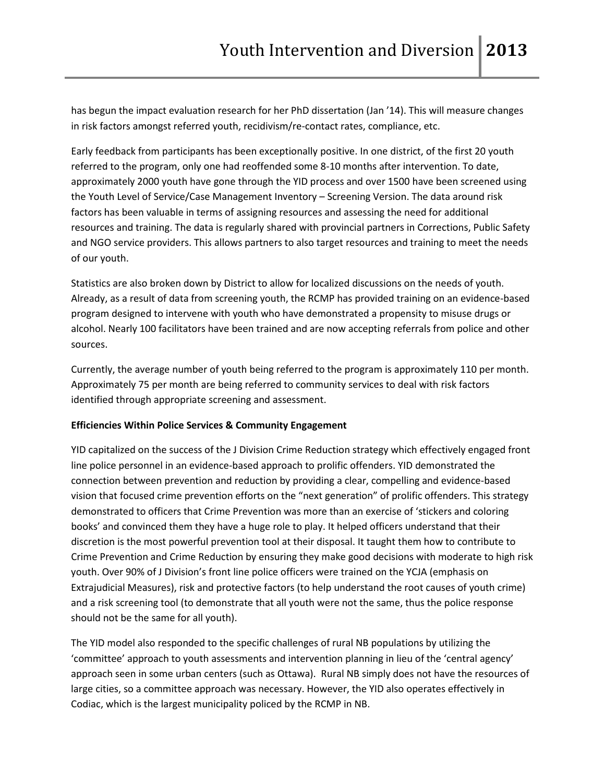has begun the impact evaluation research for her PhD dissertation (Jan '14). This will measure changes in risk factors amongst referred youth, recidivism/re-contact rates, compliance, etc.

Early feedback from participants has been exceptionally positive. In one district, of the first 20 youth referred to the program, only one had reoffended some 8-10 months after intervention. To date, approximately 2000 youth have gone through the YID process and over 1500 have been screened using the Youth Level of Service/Case Management Inventory – Screening Version. The data around risk factors has been valuable in terms of assigning resources and assessing the need for additional resources and training. The data is regularly shared with provincial partners in Corrections, Public Safety and NGO service providers. This allows partners to also target resources and training to meet the needs of our youth.

Statistics are also broken down by District to allow for localized discussions on the needs of youth. Already, as a result of data from screening youth, the RCMP has provided training on an evidence-based program designed to intervene with youth who have demonstrated a propensity to misuse drugs or alcohol. Nearly 100 facilitators have been trained and are now accepting referrals from police and other sources.

Currently, the average number of youth being referred to the program is approximately 110 per month. Approximately 75 per month are being referred to community services to deal with risk factors identified through appropriate screening and assessment.

# **Efficiencies Within Police Services & Community Engagement**

YID capitalized on the success of the J Division Crime Reduction strategy which effectively engaged front line police personnel in an evidence-based approach to prolific offenders. YID demonstrated the connection between prevention and reduction by providing a clear, compelling and evidence-based vision that focused crime prevention efforts on the "next generation" of prolific offenders. This strategy demonstrated to officers that Crime Prevention was more than an exercise of 'stickers and coloring books' and convinced them they have a huge role to play. It helped officers understand that their discretion is the most powerful prevention tool at their disposal. It taught them how to contribute to Crime Prevention and Crime Reduction by ensuring they make good decisions with moderate to high risk youth. Over 90% of J Division's front line police officers were trained on the YCJA (emphasis on Extrajudicial Measures), risk and protective factors (to help understand the root causes of youth crime) and a risk screening tool (to demonstrate that all youth were not the same, thus the police response should not be the same for all youth).

The YID model also responded to the specific challenges of rural NB populations by utilizing the 'committee' approach to youth assessments and intervention planning in lieu of the 'central agency' approach seen in some urban centers (such as Ottawa). Rural NB simply does not have the resources of large cities, so a committee approach was necessary. However, the YID also operates effectively in Codiac, which is the largest municipality policed by the RCMP in NB.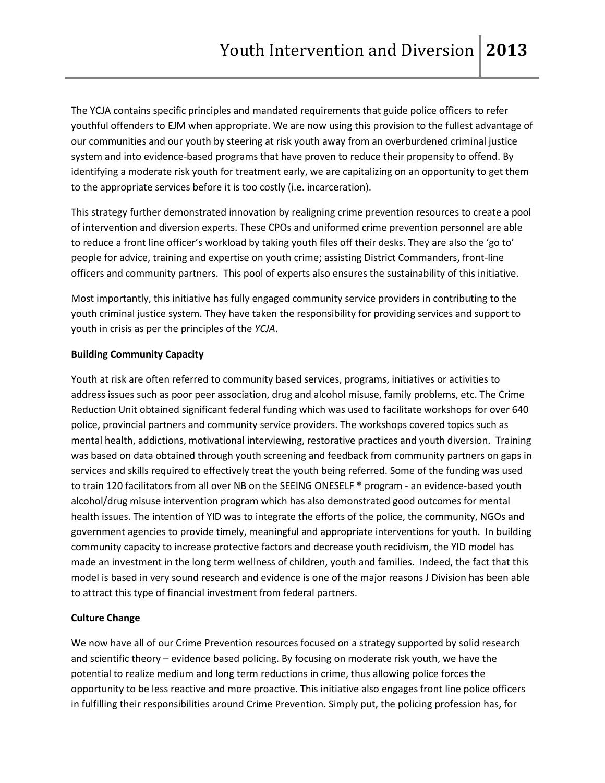The YCJA contains specific principles and mandated requirements that guide police officers to refer youthful offenders to EJM when appropriate. We are now using this provision to the fullest advantage of our communities and our youth by steering at risk youth away from an overburdened criminal justice system and into evidence-based programs that have proven to reduce their propensity to offend. By identifying a moderate risk youth for treatment early, we are capitalizing on an opportunity to get them to the appropriate services before it is too costly (i.e. incarceration).

This strategy further demonstrated innovation by realigning crime prevention resources to create a pool of intervention and diversion experts. These CPOs and uniformed crime prevention personnel are able to reduce a front line officer's workload by taking youth files off their desks. They are also the 'go to' people for advice, training and expertise on youth crime; assisting District Commanders, front-line officers and community partners. This pool of experts also ensures the sustainability of this initiative.

Most importantly, this initiative has fully engaged community service providers in contributing to the youth criminal justice system. They have taken the responsibility for providing services and support to youth in crisis as per the principles of the *YCJA*.

### **Building Community Capacity**

Youth at risk are often referred to community based services, programs, initiatives or activities to address issues such as poor peer association, drug and alcohol misuse, family problems, etc. The Crime Reduction Unit obtained significant federal funding which was used to facilitate workshops for over 640 police, provincial partners and community service providers. The workshops covered topics such as mental health, addictions, motivational interviewing, restorative practices and youth diversion. Training was based on data obtained through youth screening and feedback from community partners on gaps in services and skills required to effectively treat the youth being referred. Some of the funding was used to train 120 facilitators from all over NB on the SEEING ONESELF ® program - an evidence-based youth alcohol/drug misuse intervention program which has also demonstrated good outcomes for mental health issues. The intention of YID was to integrate the efforts of the police, the community, NGOs and government agencies to provide timely, meaningful and appropriate interventions for youth. In building community capacity to increase protective factors and decrease youth recidivism, the YID model has made an investment in the long term wellness of children, youth and families. Indeed, the fact that this model is based in very sound research and evidence is one of the major reasons J Division has been able to attract this type of financial investment from federal partners.

# **Culture Change**

We now have all of our Crime Prevention resources focused on a strategy supported by solid research and scientific theory – evidence based policing. By focusing on moderate risk youth, we have the potential to realize medium and long term reductions in crime, thus allowing police forces the opportunity to be less reactive and more proactive. This initiative also engages front line police officers in fulfilling their responsibilities around Crime Prevention. Simply put, the policing profession has, for